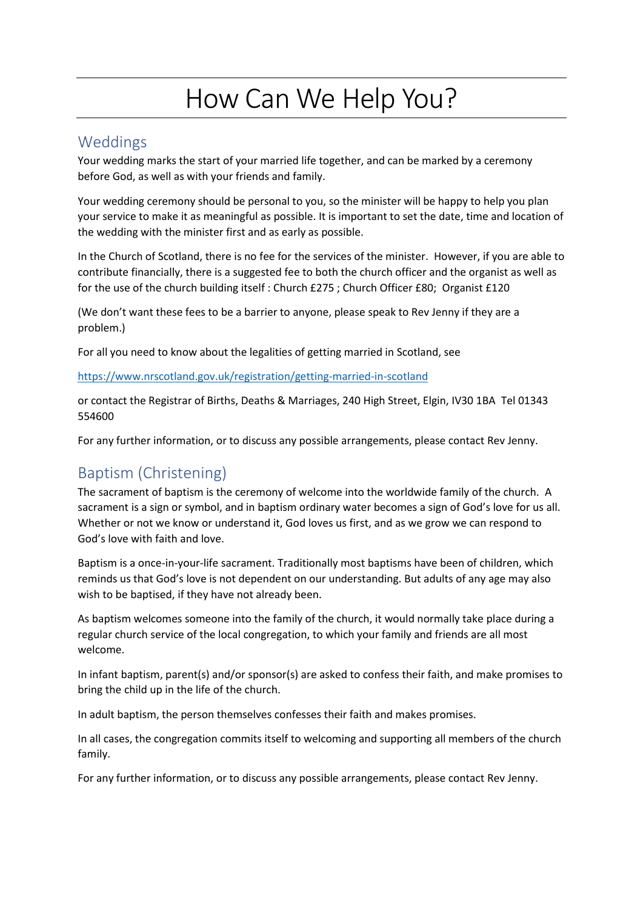# How Can We Help You?

## Weddings

Your wedding marks the start of your married life together, and can be marked by a ceremony before God, as well as with your friends and family.

Your wedding ceremony should be personal to you, so the minister will be happy to help you plan your service to make it as meaningful as possible. It is important to set the date, time and location of the wedding with the minister first and as early as possible.

In the Church of Scotland, there is no fee for the services of the minister. However, if you are able to contribute financially, there is a suggested fee to both the church officer and the organist as well as for the use of the church building itself : Church £275 ; Church Officer £80; Organist £120

(We don't want these fees to be a barrier to anyone, please speak to Rev Jenny if they are a problem.)

For all you need to know about the legalities of getting married in Scotland, see

<https://www.nrscotland.gov.uk/registration/getting-married-in-scotland>

or contact the Registrar of Births, Deaths & Marriages, 240 High Street, Elgin, IV30 1BA Tel 01343 554600

For any further information, or to discuss any possible arrangements, please contact Rev Jenny.

# Baptism (Christening)

The sacrament of baptism is the ceremony of welcome into the worldwide family of the church. A sacrament is a sign or symbol, and in baptism ordinary water becomes a sign of God's love for us all. Whether or not we know or understand it, God loves us first, and as we grow we can respond to God's love with faith and love.

Baptism is a once-in-your-life sacrament. Traditionally most baptisms have been of children, which reminds us that God's love is not dependent on our understanding. But adults of any age may also wish to be baptised, if they have not already been.

As baptism welcomes someone into the family of the church, it would normally take place during a regular church service of the local congregation, to which your family and friends are all most welcome.

In infant baptism, parent(s) and/or sponsor(s) are asked to confess their faith, and make promises to bring the child up in the life of the church.

In adult baptism, the person themselves confesses their faith and makes promises.

In all cases, the congregation commits itself to welcoming and supporting all members of the church family.

For any further information, or to discuss any possible arrangements, please contact Rev Jenny.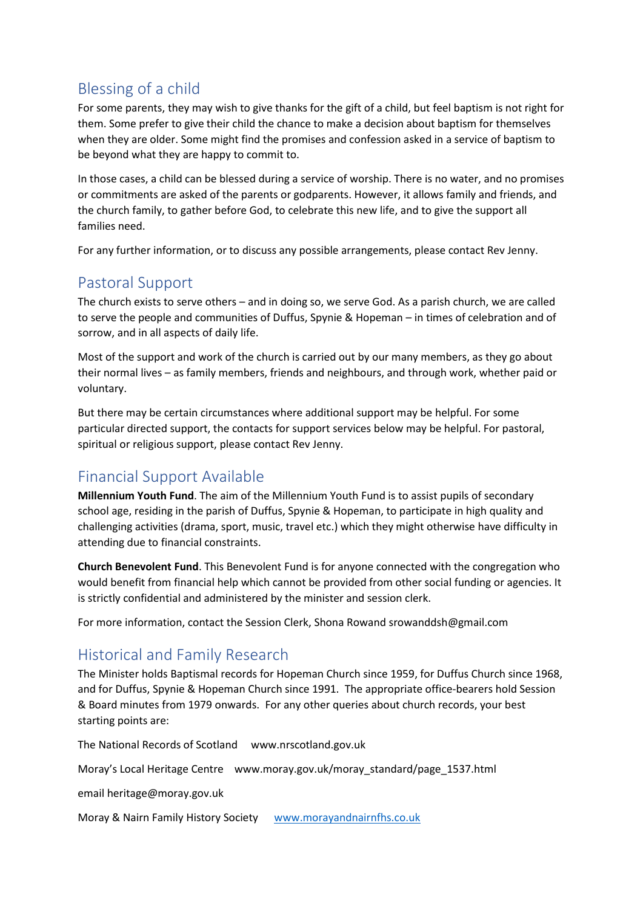# Blessing of a child

For some parents, they may wish to give thanks for the gift of a child, but feel baptism is not right for them. Some prefer to give their child the chance to make a decision about baptism for themselves when they are older. Some might find the promises and confession asked in a service of baptism to be beyond what they are happy to commit to.

In those cases, a child can be blessed during a service of worship. There is no water, and no promises or commitments are asked of the parents or godparents. However, it allows family and friends, and the church family, to gather before God, to celebrate this new life, and to give the support all families need.

For any further information, or to discuss any possible arrangements, please contact Rev Jenny.

### Pastoral Support

The church exists to serve others – and in doing so, we serve God. As a parish church, we are called to serve the people and communities of Duffus, Spynie & Hopeman – in times of celebration and of sorrow, and in all aspects of daily life.

Most of the support and work of the church is carried out by our many members, as they go about their normal lives – as family members, friends and neighbours, and through work, whether paid or voluntary.

But there may be certain circumstances where additional support may be helpful. For some particular directed support, the contacts for support services below may be helpful. For pastoral, spiritual or religious support, please contact Rev Jenny.

## Financial Support Available

**Millennium Youth Fund**. The aim of the Millennium Youth Fund is to assist pupils of secondary school age, residing in the parish of Duffus, Spynie & Hopeman, to participate in high quality and challenging activities (drama, sport, music, travel etc.) which they might otherwise have difficulty in attending due to financial constraints.

**Church Benevolent Fund**. This Benevolent Fund is for anyone connected with the congregation who would benefit from financial help which cannot be provided from other social funding or agencies. It is strictly confidential and administered by the minister and session clerk.

For more information, contact the Session Clerk, Shona Rowand srowanddsh@gmail.com

### Historical and Family Research

The Minister holds Baptismal records for Hopeman Church since 1959, for Duffus Church since 1968, and for Duffus, Spynie & Hopeman Church since 1991. The appropriate office-bearers hold Session & Board minutes from 1979 onwards. For any other queries about church records, your best starting points are:

The National Records of Scotland www.nrscotland.gov.uk

Moray's Local Heritage Centre www.moray.gov.uk/moray\_standard/page\_1537.html

email heritage@moray.gov.uk

Moray & Nairn Family History Society [www.morayandnairnfhs.co.uk](http://www.morayandnairnfhs.co.uk/)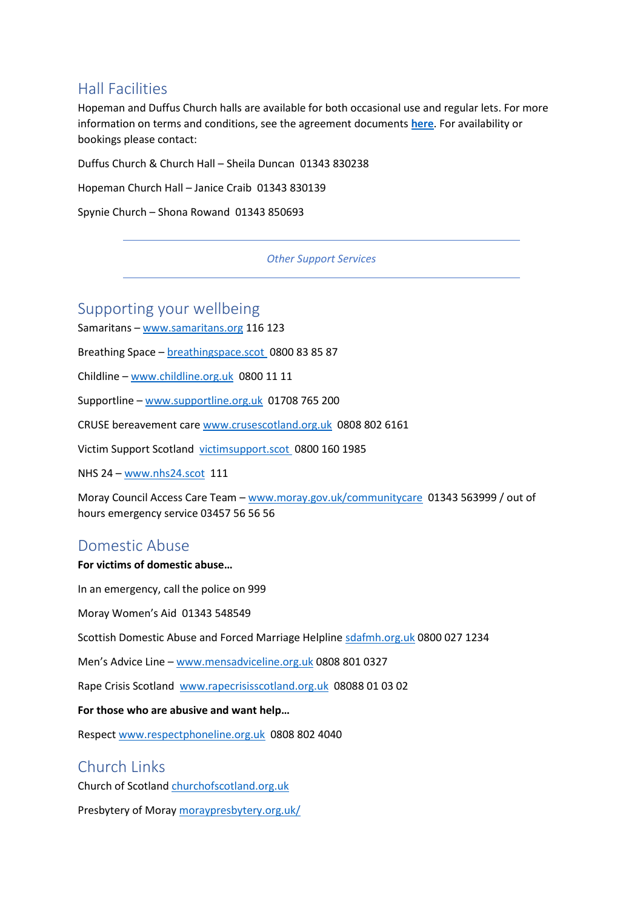#### Hall Facilities

Hopeman and Duffus Church halls are available for both occasional use and regular lets. For more information on terms and conditions, see the agreement documents **[here](https://dshchurch.co.uk/how-can-we-help/hall-let-agreements/)**. For availability or bookings please contact:

Duffus Church & Church Hall – Sheila Duncan 01343 830238

Hopeman Church Hall – Janice Craib 01343 830139

Spynie Church – Shona Rowand 01343 850693

#### *Other Support Services*

#### Supporting your wellbeing

Samaritans – [www.samaritans.org](http://www.samaritans.org/) 116 123

Breathing Space – [breathingspace.scot](http://breathingspace.scot/) 0800 83 85 87

Childline – [www.childline.org.uk](http://www.childline.org.uk/) 0800 11 11

Supportline – [www.supportline.org.uk](http://www.supportline.org.uk/) 01708 765 200

CRUSE bereavement care [www.crusescotland.org.uk](http://www.crusescotland.org.uk/) 0808 802 6161

Victim Support Scotland [victimsupport.scot](http://victimsupport.scot/) 0800 160 1985

NHS 24 – [www.nhs24.scot](http://www.nhs24.scot/) 111

Moray Council Access Care Team – [www.moray.gov.uk/communitycare](http://www.moray.gov.uk/communitycare) 01343 563999 / out of hours emergency service 03457 56 56 56

#### Domestic Abuse

#### **For victims of domestic abuse…**

In an emergency, call the police on 999

Moray Women's Aid 01343 548549

Scottish Domestic Abuse and Forced Marriage Helpline [sdafmh.org.uk](https://sdafmh.org.uk/) 0800 027 1234

Men's Advice Line – [www.mensadviceline.org.uk](http://www.mensadviceline.org.uk/) 0808 801 0327

Rape Crisis Scotland [www.rapecrisisscotland.org.uk](http://www.rapecrisisscotland.org.uk/) 08088 01 03 02

**For those who are abusive and want help…**

Respect [www.respectphoneline.org.uk](http://www.respectphoneline.org.uk/) 0808 802 4040

#### Church Links

Church of Scotland [churchofscotland.org.uk](http://churchofscotland.org.uk/)

Presbytery of Moray [moraypresbytery.org.uk/](http://moraypresbytery.org.uk/)